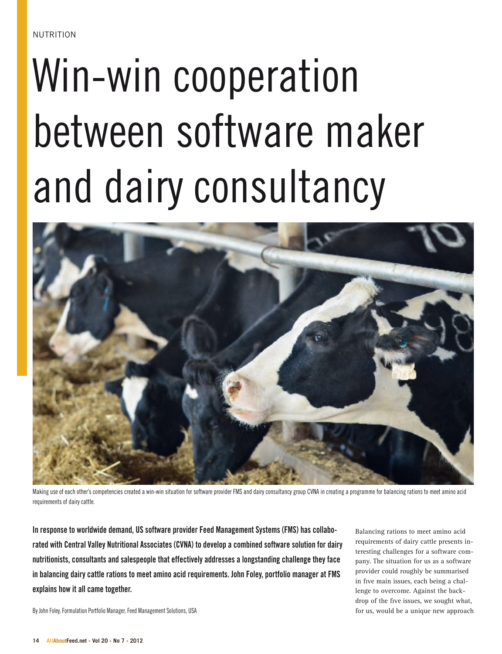## Win-win cooperation between software maker and dairy consultancy



Making use of each other's competencies created a win-win situation for software provider FMS and dairy consultancy group CVNA in creating a programme for balancing rations to meet amino acid requirements of dairy cattle.

In response to worldwide demand, US software provider Feed Management Systems (FMS) has collaborated with Central Valley Nutritional Associates (CVNA) to develop a combined software solution for dairy nutritionists, consultants and salespeople that effectively addresses a longstanding challenge they face in balancing dairy cattle rations to meet amino acid requirements. John Foley, portfolio manager at FMS explains how it all came together.

Balancing rations to meet amino acid requirements of dairy cattle presents interesting challenges for a software company. The situation for us as a software provider could roughly be summarised in five main issues, each being a challenge to overcome. Against the backdrop of the five issues, we sought what, for us, would be a unique new approach

By John Foley, Formulation Portfolio Manager, Feed Management Solutions, USA